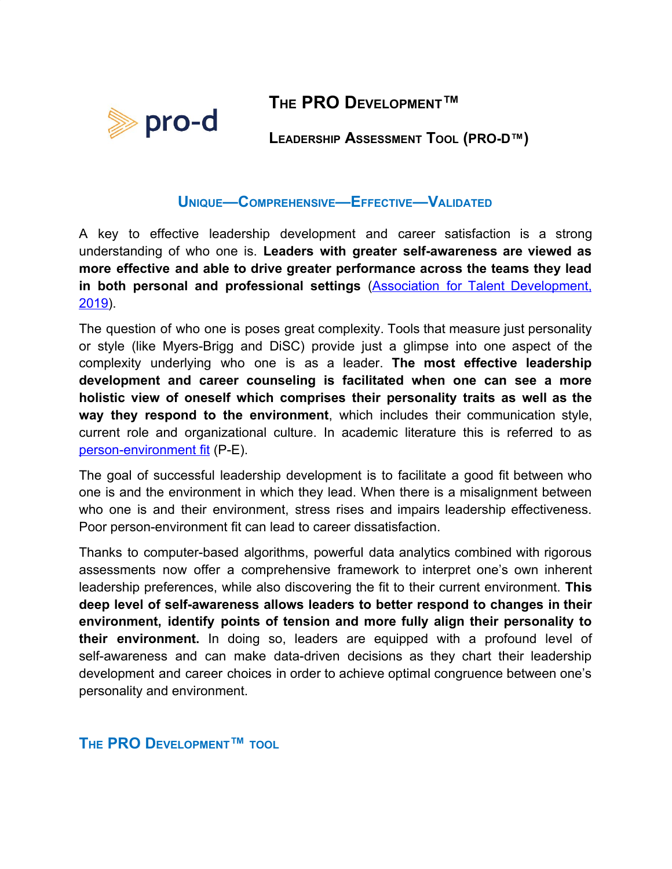## **THE PRO DEVELOPMENT™**



**LEADERSHIP ASSESSMENT TOOL (PRO-D™)**

## **UNIQUE—COMPREHENSIVE—EFFECTIVE—VALIDATED**

A key to effective leadership development and career satisfaction is a strong understanding of who one is. **Leaders with greater self-awareness are viewed as more effective and able to drive greater performance across the teams they lead in both personal and professional settings** (Association for Talent [Development,](https://www.td.org/insights/effective-leadership-starts-with-self-awareness) [2019\)](https://www.td.org/insights/effective-leadership-starts-with-self-awareness).

The question of who one is poses great complexity. Tools that measure just personality or style (like Myers-Brigg and DiSC) provide just a glimpse into one aspect of the complexity underlying who one is as a leader. **The most effective leadership development and career counseling is facilitated when one can see a more holistic view of oneself which comprises their personality traits as well as the way they respond to the environment**, which includes their communication style, current role and organizational culture. In academic literature this is referred to as [person-environment fit](http://public.kenan-flagler.unc.edu/faculty/edwardsj/edwardsetal1998.pdf) (P-E).

The goal of successful leadership development is to facilitate a good fit between who one is and the environment in which they lead. When there is a misalignment between who one is and their environment, stress rises and impairs leadership effectiveness. Poor person-environment fit can lead to career dissatisfaction.

Thanks to computer-based algorithms, powerful data analytics combined with rigorous assessments now offer a comprehensive framework to interpret one's own inherent leadership preferences, while also discovering the fit to their current environment. **This deep level of self-awareness allows leaders to better respond to changes in their environment, identify points of tension and more fully align their personality to their environment.** In doing so, leaders are equipped with a profound level of self-awareness and can make data-driven decisions as they chart their leadership development and career choices in order to achieve optimal congruence between one's personality and environment.

**THE PRO DEVELOPMENT™ TOOL**